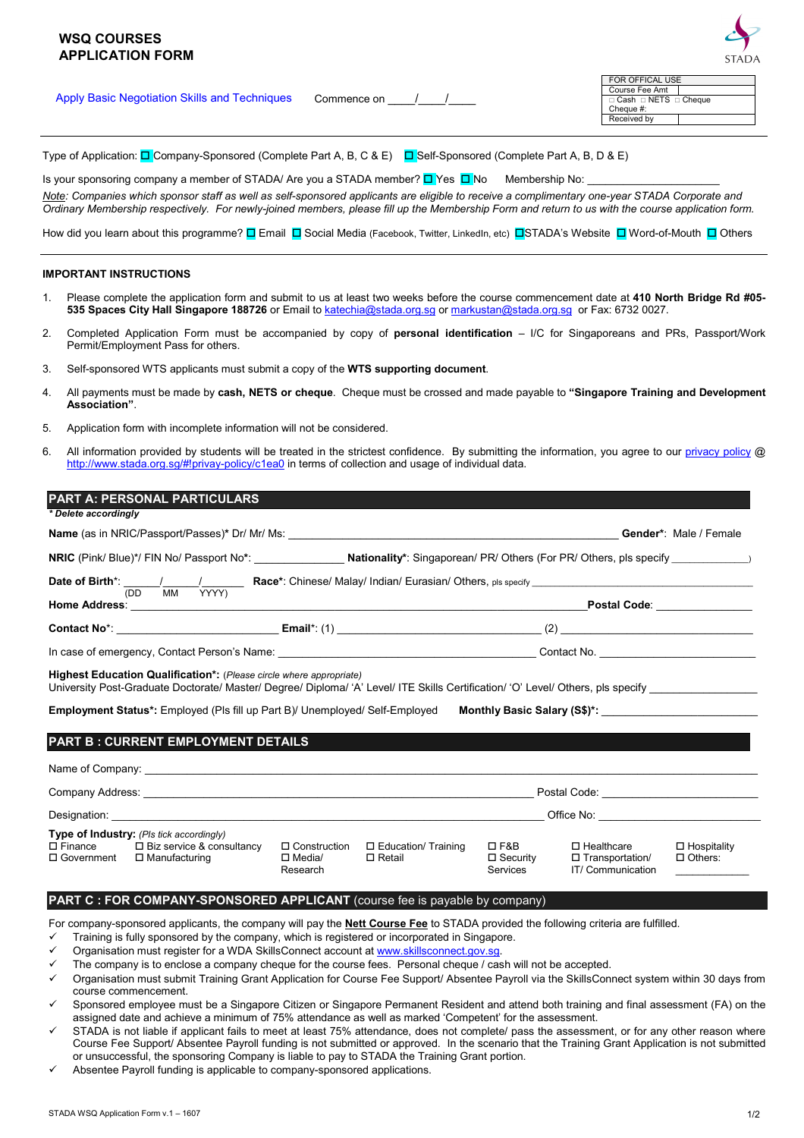| <b>WSQ COURSES</b><br><b>APPLICATION FORM</b>        |             | <b>STADA</b>                                                                            |
|------------------------------------------------------|-------------|-----------------------------------------------------------------------------------------|
| <b>Apply Basic Negotiation Skills and Techniques</b> | Commence on | FOR OFFICAL USE<br>Course Fee Amt<br>□ Cash □ NETS □ Cheque<br>Cheque #:<br>Received by |

Type of Application:  $\Box$  Company-Sponsored (Complete Part A, B, C & E)  $\Box$  Self-Sponsored (Complete Part A, B, D & E)

Is your sponsoring company a member of STADA/ Are you a STADA member?  $\Box$  Yes  $\Box$  No Membership No: *Note: Companies which sponsor staff as well as self-sponsored applicants are eligible to receive a complimentary one-year STADA Corporate and Ordinary Membership respectively. For newly-joined members, please fill up the Membership Form and return to us with the course application form.* 

How did you learn about this programme? **D** Email **D** Social Media (Facebook, Twitter, LinkedIn, etc) **D**STADA's Website **D** Word-of-Mouth **D** Others

### **IMPORTANT INSTRUCTIONS**

- 1. Please complete the application form and submit to us at least two weeks before the course commencement date at **410 North Bridge Rd #05- 535 Spaces City Hall Singapore 188726** or Email to katechia@stada.org.sg or markustan@stada.org.sg or Fax: 6732 0027.
- 2. Completed Application Form must be accompanied by copy of **personal identification** I/C for Singaporeans and PRs, Passport/Work Permit/Employment Pass for others.
- 3. Self-sponsored WTS applicants must submit a copy of the **WTS supporting document**.
- 4. All payments must be made by **cash, NETS or cheque**. Cheque must be crossed and made payable to **"Singapore Training and Development Association"**.
- 5. Application form with incomplete information will not be considered.
- 6. All information provided by students will be treated in the strictest confidence. By submitting the information, you agree to our privacy policy @ http://www.stada.org.sg/#!privay-policy/c1ea0 in terms of collection and usage of individual data.

|                                                                                                                                                                                                                                                                                                                                                                                                                          |                                             |                                             |                                                     |                                                                                                                                                                                                                                                                                                    | Gender*: Male / Female               |
|--------------------------------------------------------------------------------------------------------------------------------------------------------------------------------------------------------------------------------------------------------------------------------------------------------------------------------------------------------------------------------------------------------------------------|---------------------------------------------|---------------------------------------------|-----------------------------------------------------|----------------------------------------------------------------------------------------------------------------------------------------------------------------------------------------------------------------------------------------------------------------------------------------------------|--------------------------------------|
| NRIC (Pink/ Blue)*/ FIN No/ Passport No*: ________________ Nationality*: Singaporean/ PR/ Others (For PR/ Others, pls specify _______________)                                                                                                                                                                                                                                                                           |                                             |                                             |                                                     |                                                                                                                                                                                                                                                                                                    |                                      |
|                                                                                                                                                                                                                                                                                                                                                                                                                          |                                             |                                             |                                                     |                                                                                                                                                                                                                                                                                                    |                                      |
|                                                                                                                                                                                                                                                                                                                                                                                                                          |                                             |                                             |                                                     | Postal Code: the control of the control of the control of the control of the control of the control of the control of the control of the control of the control of the control of the control of the control of the control of                                                                     |                                      |
|                                                                                                                                                                                                                                                                                                                                                                                                                          |                                             |                                             |                                                     |                                                                                                                                                                                                                                                                                                    |                                      |
|                                                                                                                                                                                                                                                                                                                                                                                                                          |                                             |                                             |                                                     |                                                                                                                                                                                                                                                                                                    |                                      |
|                                                                                                                                                                                                                                                                                                                                                                                                                          |                                             |                                             |                                                     |                                                                                                                                                                                                                                                                                                    |                                      |
|                                                                                                                                                                                                                                                                                                                                                                                                                          |                                             |                                             |                                                     |                                                                                                                                                                                                                                                                                                    |                                      |
| PART B : CURRENT EMPLOYMENT DETAILS<br>Company Address: Note of the Company Address and the Company Address and the Company Address and the Company A                                                                                                                                                                                                                                                                    |                                             |                                             |                                                     | Postal Code: National According Postal Code:                                                                                                                                                                                                                                                       |                                      |
| $\Box$ Biz service & consultancy                                                                                                                                                                                                                                                                                                                                                                                         | □ Construction<br>$\Box$ Media/<br>Research | $\Box$ Education/ Training<br>$\Box$ Retail | $\square$ F&B<br>$\Box$ Security<br><b>Services</b> | Office No: Note that the state of the state of the state of the state of the state of the state of the state of the state of the state of the state of the state of the state of the state of the state of the state of the st<br>$\Box$ Healthcare<br>$\Box$ Transportation/<br>IT/ Communication | $\Box$ Hospitality<br>$\Box$ Others: |
| Designation: the contract of the contract of the contract of the contract of the contract of the contract of the contract of the contract of the contract of the contract of the contract of the contract of the contract of t<br>Type of Industry: (PIs tick accordingly)<br>$\square$ Finance<br>$\Box$ Government $\Box$ Manufacturing<br>PART C : FOR COMPANY-SPONSORED APPLICANT (course fee is payable by company) |                                             |                                             |                                                     |                                                                                                                                                                                                                                                                                                    |                                      |

- $\checkmark$  Organisation must submit Training Grant Application for Course Fee Support/ Absentee Payroll via the SkillsConnect system within 30 days from course commencement.
- $\checkmark$  Sponsored employee must be a Singapore Citizen or Singapore Permanent Resident and attend both training and final assessment (FA) on the assigned date and achieve a minimum of 75% attendance as well as marked 'Competent' for the assessment.
- $\checkmark$ STADA is not liable if applicant fails to meet at least 75% attendance, does not complete/ pass the assessment, or for any other reason where Course Fee Support/ Absentee Payroll funding is not submitted or approved. In the scenario that the Training Grant Application is not submitted or unsuccessful, the sponsoring Company is liable to pay to STADA the Training Grant portion.
- $\checkmark$ Absentee Payroll funding is applicable to company-sponsored applications.

 $\overline{1}$